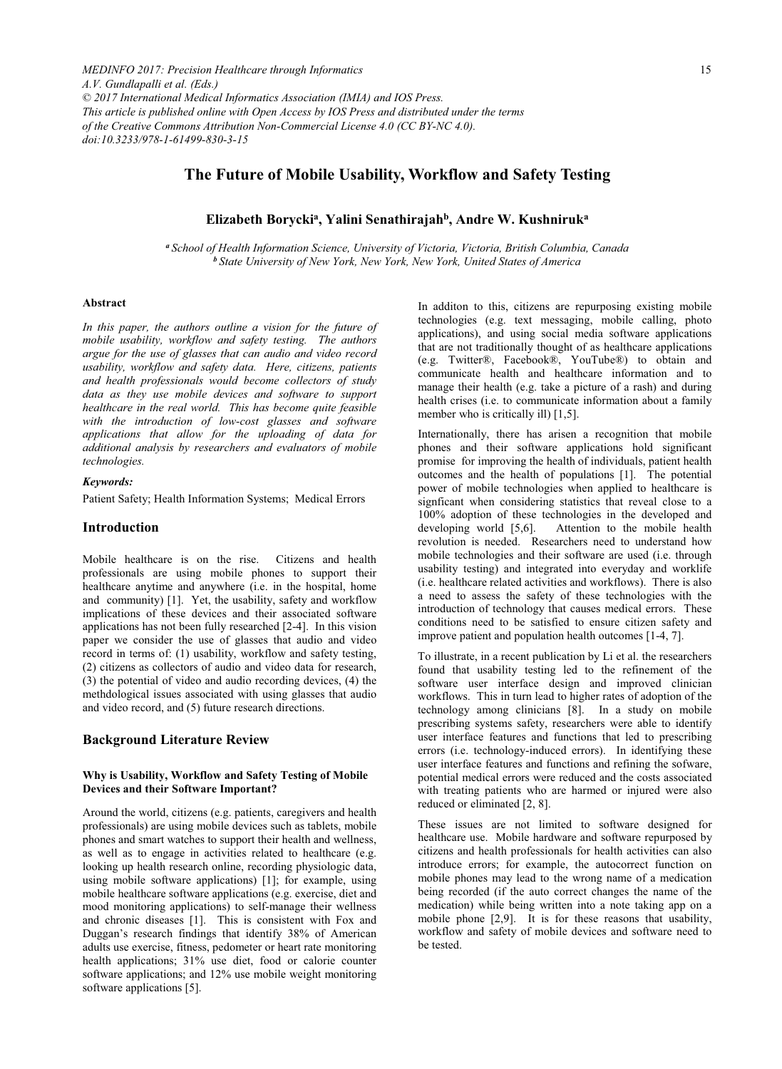*MEDINFO 2017: Precision Healthcare through Informatics A.V. Gundlapalli et al. (Eds.) © 2017 International Medical Informatics Association (IMIA) and IOS Press. This article is published online with Open Access by IOS Press and distributed under the terms of the Creative Commons Attribution Non-Commercial License 4.0 (CC BY-NC 4.0). doi:10.3233/978-1-61499-830-3-15*

# **The Future of Mobile Usability, Workflow and Safety Testing**

# **Elizabeth Boryckia, Yalini Senathirajahb, Andre W. Kushniruka**

*<sup>a</sup> School of Health Information Science, University of Victoria, Victoria, British Columbia, Canada <sup>b</sup> State University of New York, New York, New York, United States of America*

### **Abstract**

*In this paper, the authors outline a vision for the future of mobile usability, workflow and safety testing. The authors argue for the use of glasses that can audio and video record usability, workflow and safety data. Here, citizens, patients and health professionals would become collectors of study data as they use mobile devices and software to support healthcare in the real world. This has become quite feasible with the introduction of low-cost glasses and software applications that allow for the uploading of data for additional analysis by researchers and evaluators of mobile technologies.*

#### *Keywords:*

Patient Safety; Health Information Systems; Medical Errors

#### **Introduction**

Mobile healthcare is on the rise. Citizens and health professionals are using mobile phones to support their healthcare anytime and anywhere (i.e. in the hospital, home and community) [1]. Yet, the usability, safety and workflow implications of these devices and their associated software applications has not been fully researched [2-4]. In this vision paper we consider the use of glasses that audio and video record in terms of: (1) usability, workflow and safety testing, (2) citizens as collectors of audio and video data for research, (3) the potential of video and audio recording devices, (4) the methdological issues associated with using glasses that audio and video record, and (5) future research directions.

# **Background Literature Review**

#### **Why is Usability, Workflow and Safety Testing of Mobile Devices and their Software Important?**

Around the world, citizens (e.g. patients, caregivers and health professionals) are using mobile devices such as tablets, mobile phones and smart watches to support their health and wellness, as well as to engage in activities related to healthcare (e.g. looking up health research online, recording physiologic data, using mobile software applications) [1]; for example, using mobile healthcare software applications (e.g. exercise, diet and mood monitoring applications) to self-manage their wellness and chronic diseases [1]. This is consistent with Fox and Duggan's research findings that identify 38% of American adults use exercise, fitness, pedometer or heart rate monitoring health applications; 31% use diet, food or calorie counter software applications; and 12% use mobile weight monitoring software applications [5].

In additon to this, citizens are repurposing existing mobile technologies (e.g. text messaging, mobile calling, photo applications), and using social media software applications that are not traditionally thought of as healthcare applications (e.g. Twitter®, Facebook®, YouTube®) to obtain and communicate health and healthcare information and to manage their health (e.g. take a picture of a rash) and during health crises (i.e. to communicate information about a family member who is critically ill) [1,5].

Internationally, there has arisen a recognition that mobile phones and their software applications hold significant promise for improving the health of individuals, patient health outcomes and the health of populations [1]. The potential power of mobile technologies when applied to healthcare is signficant when considering statistics that reveal close to a 100% adoption of these technologies in the developed and developing world [5.6]. Attention to the mobile health Attention to the mobile health revolution is needed. Researchers need to understand how mobile technologies and their software are used (i.e. through usability testing) and integrated into everyday and worklife (i.e. healthcare related activities and workflows). There is also a need to assess the safety of these technologies with the introduction of technology that causes medical errors. These conditions need to be satisfied to ensure citizen safety and improve patient and population health outcomes [1-4, 7].

To illustrate, in a recent publication by Li et al. the researchers found that usability testing led to the refinement of the software user interface design and improved clinician workflows. This in turn lead to higher rates of adoption of the technology among clinicians [8]. In a study on mobile prescribing systems safety, researchers were able to identify user interface features and functions that led to prescribing errors (i.e. technology-induced errors). In identifying these user interface features and functions and refining the sofware, potential medical errors were reduced and the costs associated with treating patients who are harmed or injured were also reduced or eliminated [2, 8].

These issues are not limited to software designed for healthcare use. Mobile hardware and software repurposed by citizens and health professionals for health activities can also introduce errors; for example, the autocorrect function on mobile phones may lead to the wrong name of a medication being recorded (if the auto correct changes the name of the medication) while being written into a note taking app on a mobile phone [2,9]. It is for these reasons that usability, workflow and safety of mobile devices and software need to be tested.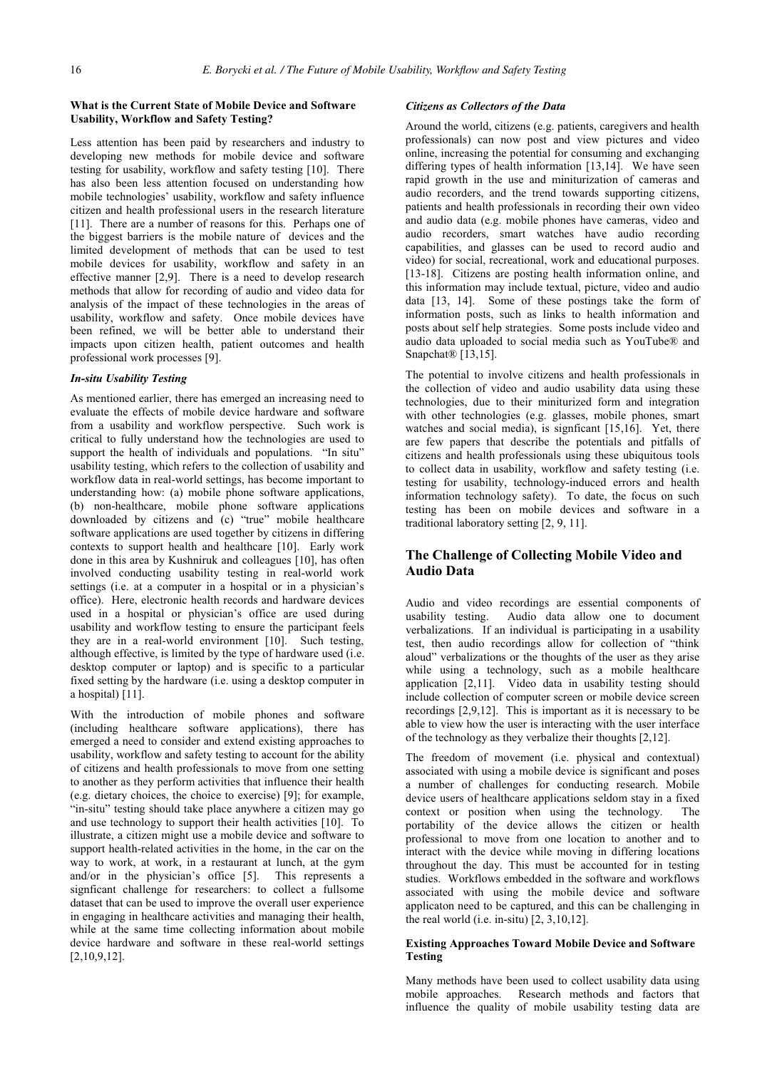## **What is the Current State of Mobile Device and Software Usability, Workflow and Safety Testing?**

Less attention has been paid by researchers and industry to developing new methods for mobile device and software testing for usability, workflow and safety testing [10]. There has also been less attention focused on understanding how mobile technologies' usability, workflow and safety influence citizen and health professional users in the research literature [11]. There are a number of reasons for this. Perhaps one of the biggest barriers is the mobile nature of devices and the limited development of methods that can be used to test mobile devices for usability, workflow and safety in an effective manner [2,9]. There is a need to develop research methods that allow for recording of audio and video data for analysis of the impact of these technologies in the areas of usability, workflow and safety. Once mobile devices have been refined, we will be better able to understand their impacts upon citizen health, patient outcomes and health professional work processes [9].

## *In-situ Usability Testing*

As mentioned earlier, there has emerged an increasing need to evaluate the effects of mobile device hardware and software from a usability and workflow perspective. Such work is critical to fully understand how the technologies are used to support the health of individuals and populations. "In situ" usability testing, which refers to the collection of usability and workflow data in real-world settings, has become important to understanding how: (a) mobile phone software applications, (b) non-healthcare, mobile phone software applications downloaded by citizens and (c) "true" mobile healthcare software applications are used together by citizens in differing contexts to support health and healthcare [10]. Early work done in this area by Kushniruk and colleagues [10], has often involved conducting usability testing in real-world work settings (i.e. at a computer in a hospital or in a physician's office). Here, electronic health records and hardware devices used in a hospital or physician's office are used during usability and workflow testing to ensure the participant feels they are in a real-world environment [10]. Such testing, although effective, is limited by the type of hardware used (i.e. desktop computer or laptop) and is specific to a particular fixed setting by the hardware (i.e. using a desktop computer in a hospital) [11].

With the introduction of mobile phones and software (including healthcare software applications), there has emerged a need to consider and extend existing approaches to usability, workflow and safety testing to account for the ability of citizens and health professionals to move from one setting to another as they perform activities that influence their health (e.g. dietary choices, the choice to exercise) [9]; for example, "in-situ" testing should take place anywhere a citizen may go and use technology to support their health activities [10]. To illustrate, a citizen might use a mobile device and software to support health-related activities in the home, in the car on the way to work, at work, in a restaurant at lunch, at the gym and/or in the physician's office [5]. This represents a signficant challenge for researchers: to collect a fullsome dataset that can be used to improve the overall user experience in engaging in healthcare activities and managing their health, while at the same time collecting information about mobile device hardware and software in these real-world settings [2,10,9,12].

#### *Citizens as Collectors of the Data*

Around the world, citizens (e.g. patients, caregivers and health professionals) can now post and view pictures and video online, increasing the potential for consuming and exchanging differing types of health information [13,14]. We have seen rapid growth in the use and miniturization of cameras and audio recorders, and the trend towards supporting citizens, patients and health professionals in recording their own video and audio data (e.g. mobile phones have cameras, video and audio recorders, smart watches have audio recording capabilities, and glasses can be used to record audio and video) for social, recreational, work and educational purposes. [13-18]. Citizens are posting health information online, and this information may include textual, picture, video and audio data [13, 14]. Some of these postings take the form of information posts, such as links to health information and posts about self help strategies. Some posts include video and audio data uploaded to social media such as YouTube® and Snapchat<sup>®</sup> [13,15].

The potential to involve citizens and health professionals in the collection of video and audio usability data using these technologies, due to their miniturized form and integration with other technologies (e.g. glasses, mobile phones, smart watches and social media), is signficant [15,16]. Yet, there are few papers that describe the potentials and pitfalls of citizens and health professionals using these ubiquitous tools to collect data in usability, workflow and safety testing (i.e. testing for usability, technology-induced errors and health information technology safety). To date, the focus on such testing has been on mobile devices and software in a traditional laboratory setting [2, 9, 11].

## **The Challenge of Collecting Mobile Video and Audio Data**

Audio and video recordings are essential components of usability testing. Audio data allow one to document verbalizations. If an individual is participating in a usability test, then audio recordings allow for collection of "think aloud" verbalizations or the thoughts of the user as they arise while using a technology, such as a mobile healthcare application [2,11]. Video data in usability testing should include collection of computer screen or mobile device screen recordings [2,9,12]. This is important as it is necessary to be able to view how the user is interacting with the user interface of the technology as they verbalize their thoughts [2,12].

The freedom of movement (i.e. physical and contextual) associated with using a mobile device is significant and poses a number of challenges for conducting research. Mobile device users of healthcare applications seldom stay in a fixed context or position when using the technology. The portability of the device allows the citizen or health professional to move from one location to another and to interact with the device while moving in differing locations throughout the day. This must be accounted for in testing studies. Workflows embedded in the software and workflows associated with using the mobile device and software applicaton need to be captured, and this can be challenging in the real world (i.e. in-situ) [2, 3,10,12].

#### **Existing Approaches Toward Mobile Device and Software Testing**

Many methods have been used to collect usability data using mobile approaches. Research methods and factors that influence the quality of mobile usability testing data are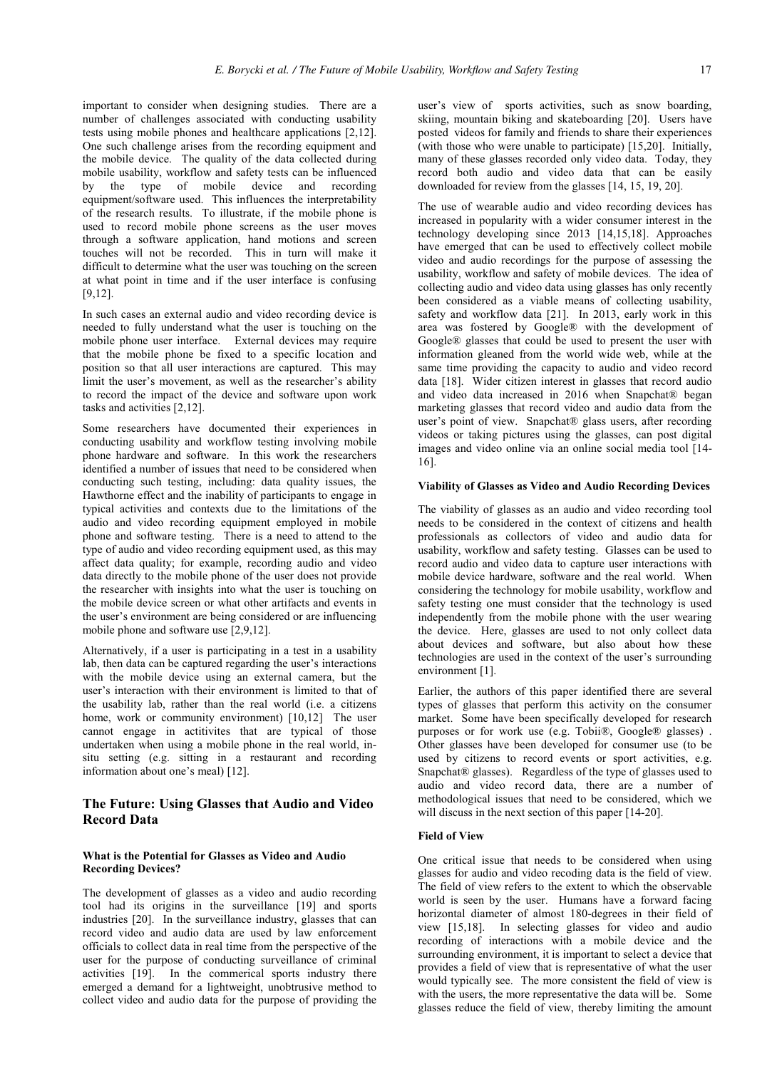important to consider when designing studies. There are a number of challenges associated with conducting usability tests using mobile phones and healthcare applications [2,12]. One such challenge arises from the recording equipment and the mobile device. The quality of the data collected during mobile usability, workflow and safety tests can be influenced by the type of mobile device and recording equipment/software used. This influences the interpretability of the research results. To illustrate, if the mobile phone is used to record mobile phone screens as the user moves through a software application, hand motions and screen touches will not be recorded. This in turn will make it difficult to determine what the user was touching on the screen at what point in time and if the user interface is confusing [9,12].

In such cases an external audio and video recording device is needed to fully understand what the user is touching on the mobile phone user interface. External devices may require that the mobile phone be fixed to a specific location and position so that all user interactions are captured. This may limit the user's movement, as well as the researcher's ability to record the impact of the device and software upon work tasks and activities [2,12].

Some researchers have documented their experiences in conducting usability and workflow testing involving mobile phone hardware and software. In this work the researchers identified a number of issues that need to be considered when conducting such testing, including: data quality issues, the Hawthorne effect and the inability of participants to engage in typical activities and contexts due to the limitations of the audio and video recording equipment employed in mobile phone and software testing. There is a need to attend to the type of audio and video recording equipment used, as this may affect data quality; for example, recording audio and video data directly to the mobile phone of the user does not provide the researcher with insights into what the user is touching on the mobile device screen or what other artifacts and events in the user's environment are being considered or are influencing mobile phone and software use [2,9,12].

Alternatively, if a user is participating in a test in a usability lab, then data can be captured regarding the user's interactions with the mobile device using an external camera, but the user's interaction with their environment is limited to that of the usability lab, rather than the real world (i.e. a citizens home, work or community environment) [10,12] The user cannot engage in actitivites that are typical of those undertaken when using a mobile phone in the real world, insitu setting (e.g. sitting in a restaurant and recording information about one's meal) [12].

# **The Future: Using Glasses that Audio and Video Record Data**

## **What is the Potential for Glasses as Video and Audio Recording Devices?**

The development of glasses as a video and audio recording tool had its origins in the surveillance [19] and sports industries [20]. In the surveillance industry, glasses that can record video and audio data are used by law enforcement officials to collect data in real time from the perspective of the user for the purpose of conducting surveillance of criminal activities [19]. In the commerical sports industry there emerged a demand for a lightweight, unobtrusive method to collect video and audio data for the purpose of providing the

user's view of sports activities, such as snow boarding, skiing, mountain biking and skateboarding [20]. Users have posted videos for family and friends to share their experiences (with those who were unable to participate) [15,20]. Initially, many of these glasses recorded only video data. Today, they record both audio and video data that can be easily downloaded for review from the glasses [14, 15, 19, 20].

The use of wearable audio and video recording devices has increased in popularity with a wider consumer interest in the technology developing since 2013 [14,15,18]. Approaches have emerged that can be used to effectively collect mobile video and audio recordings for the purpose of assessing the usability, workflow and safety of mobile devices. The idea of collecting audio and video data using glasses has only recently been considered as a viable means of collecting usability, safety and workflow data [21]. In 2013, early work in this area was fostered by Google® with the development of Google® glasses that could be used to present the user with information gleaned from the world wide web, while at the same time providing the capacity to audio and video record data [18]. Wider citizen interest in glasses that record audio and video data increased in 2016 when Snapchat® began marketing glasses that record video and audio data from the user's point of view. Snapchat® glass users, after recording videos or taking pictures using the glasses, can post digital images and video online via an online social media tool [14- 16].

### **Viability of Glasses as Video and Audio Recording Devices**

The viability of glasses as an audio and video recording tool needs to be considered in the context of citizens and health professionals as collectors of video and audio data for usability, workflow and safety testing. Glasses can be used to record audio and video data to capture user interactions with mobile device hardware, software and the real world. When considering the technology for mobile usability, workflow and safety testing one must consider that the technology is used independently from the mobile phone with the user wearing the device. Here, glasses are used to not only collect data about devices and software, but also about how these technologies are used in the context of the user's surrounding environment [1].

Earlier, the authors of this paper identified there are several types of glasses that perform this activity on the consumer market. Some have been specifically developed for research purposes or for work use (e.g. Tobii®, Google® glasses) . Other glasses have been developed for consumer use (to be used by citizens to record events or sport activities, e.g. Snapchat® glasses). Regardless of the type of glasses used to audio and video record data, there are a number of methodological issues that need to be considered, which we will discuss in the next section of this paper [14-20].

#### **Field of View**

One critical issue that needs to be considered when using glasses for audio and video recoding data is the field of view. The field of view refers to the extent to which the observable world is seen by the user. Humans have a forward facing horizontal diameter of almost 180-degrees in their field of view [15,18]. In selecting glasses for video and audio recording of interactions with a mobile device and the surrounding environment, it is important to select a device that provides a field of view that is representative of what the user would typically see. The more consistent the field of view is with the users, the more representative the data will be. Some glasses reduce the field of view, thereby limiting the amount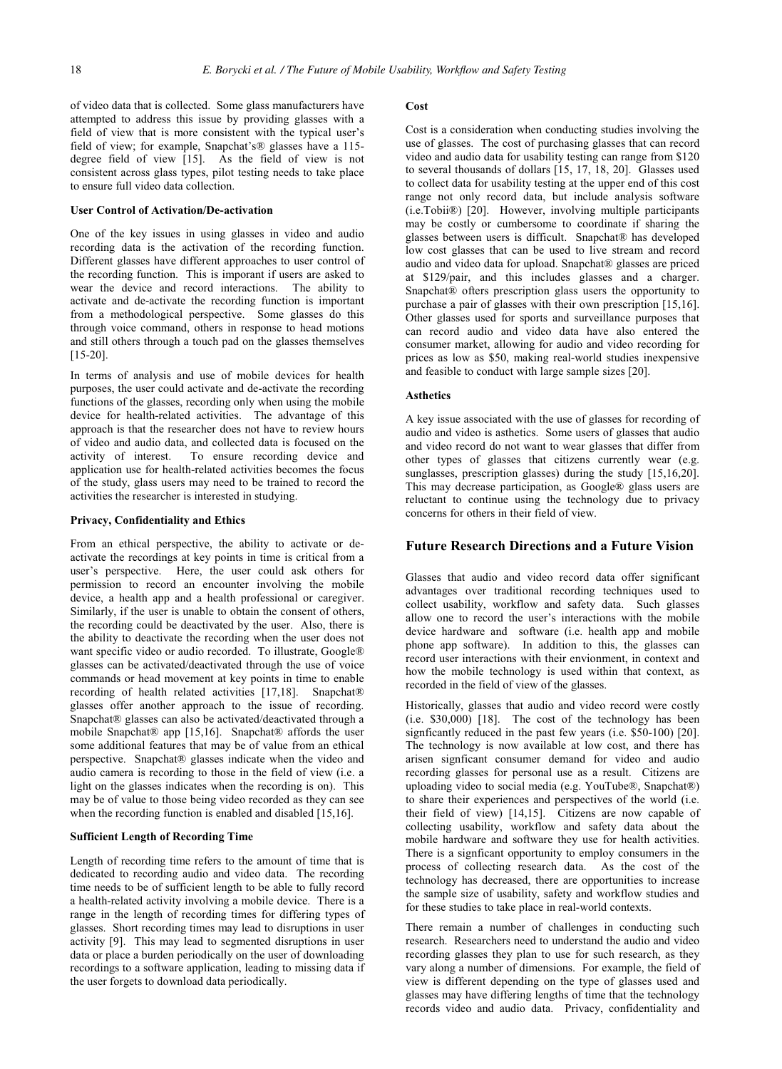of video data that is collected. Some glass manufacturers have attempted to address this issue by providing glasses with a field of view that is more consistent with the typical user's field of view; for example, Snapchat's® glasses have a 115 degree field of view [15]. As the field of view is not consistent across glass types, pilot testing needs to take place to ensure full video data collection.

#### **User Control of Activation/De-activation**

One of the key issues in using glasses in video and audio recording data is the activation of the recording function. Different glasses have different approaches to user control of the recording function. This is imporant if users are asked to wear the device and record interactions. The ability to activate and de-activate the recording function is important from a methodological perspective. Some glasses do this through voice command, others in response to head motions and still others through a touch pad on the glasses themselves [15-20].

In terms of analysis and use of mobile devices for health purposes, the user could activate and de-activate the recording functions of the glasses, recording only when using the mobile device for health-related activities. The advantage of this approach is that the researcher does not have to review hours of video and audio data, and collected data is focused on the activity of interest. To ensure recording device and application use for health-related activities becomes the focus of the study, glass users may need to be trained to record the activities the researcher is interested in studying.

#### **Privacy, Confidentiality and Ethics**

From an ethical perspective, the ability to activate or deactivate the recordings at key points in time is critical from a user's perspective. Here, the user could ask others for permission to record an encounter involving the mobile device, a health app and a health professional or caregiver. Similarly, if the user is unable to obtain the consent of others, the recording could be deactivated by the user. Also, there is the ability to deactivate the recording when the user does not want specific video or audio recorded. To illustrate, Google® glasses can be activated/deactivated through the use of voice commands or head movement at key points in time to enable recording of health related activities [17,18]. Snapchat® glasses offer another approach to the issue of recording. Snapchat® glasses can also be activated/deactivated through a mobile Snapchat® app [15,16]. Snapchat® affords the user some additional features that may be of value from an ethical perspective. Snapchat® glasses indicate when the video and audio camera is recording to those in the field of view (i.e. a light on the glasses indicates when the recording is on). This may be of value to those being video recorded as they can see when the recording function is enabled and disabled [15,16].

#### **Sufficient Length of Recording Time**

Length of recording time refers to the amount of time that is dedicated to recording audio and video data. The recording time needs to be of sufficient length to be able to fully record a health-related activity involving a mobile device. There is a range in the length of recording times for differing types of glasses. Short recording times may lead to disruptions in user activity [9]. This may lead to segmented disruptions in user data or place a burden periodically on the user of downloading recordings to a software application, leading to missing data if the user forgets to download data periodically.

#### **Cost**

Cost is a consideration when conducting studies involving the use of glasses. The cost of purchasing glasses that can record video and audio data for usability testing can range from \$120 to several thousands of dollars [15, 17, 18, 20]. Glasses used to collect data for usability testing at the upper end of this cost range not only record data, but include analysis software (i.e.Tobii®) [20]. However, involving multiple participants may be costly or cumbersome to coordinate if sharing the glasses between users is difficult. Snapchat® has developed low cost glasses that can be used to live stream and record audio and video data for upload. Snapchat® glasses are priced at \$129/pair, and this includes glasses and a charger. Snapchat® ofters prescription glass users the opportunity to purchase a pair of glasses with their own prescription [15,16]. Other glasses used for sports and surveillance purposes that can record audio and video data have also entered the consumer market, allowing for audio and video recording for prices as low as \$50, making real-world studies inexpensive and feasible to conduct with large sample sizes [20].

## **Asthetics**

A key issue associated with the use of glasses for recording of audio and video is asthetics. Some users of glasses that audio and video record do not want to wear glasses that differ from other types of glasses that citizens currently wear (e.g. sunglasses, prescription glasses) during the study [15,16,20]. This may decrease participation, as Google® glass users are reluctant to continue using the technology due to privacy concerns for others in their field of view.

# **Future Research Directions and a Future Vision**

Glasses that audio and video record data offer significant advantages over traditional recording techniques used to collect usability, workflow and safety data. Such glasses allow one to record the user's interactions with the mobile device hardware and software (i.e. health app and mobile phone app software). In addition to this, the glasses can record user interactions with their envionment, in context and how the mobile technology is used within that context, as recorded in the field of view of the glasses.

Historically, glasses that audio and video record were costly (i.e. \$30,000) [18]. The cost of the technology has been signficantly reduced in the past few years (i.e. \$50-100) [20]. The technology is now available at low cost, and there has arisen signficant consumer demand for video and audio recording glasses for personal use as a result. Citizens are uploading video to social media (e.g. YouTube®, Snapchat®) to share their experiences and perspectives of the world (i.e. their field of view) [14,15]. Citizens are now capable of collecting usability, workflow and safety data about the mobile hardware and software they use for health activities. There is a signficant opportunity to employ consumers in the process of collecting research data. As the cost of the technology has decreased, there are opportunities to increase the sample size of usability, safety and workflow studies and for these studies to take place in real-world contexts.

There remain a number of challenges in conducting such research. Researchers need to understand the audio and video recording glasses they plan to use for such research, as they vary along a number of dimensions. For example, the field of view is different depending on the type of glasses used and glasses may have differing lengths of time that the technology records video and audio data. Privacy, confidentiality and